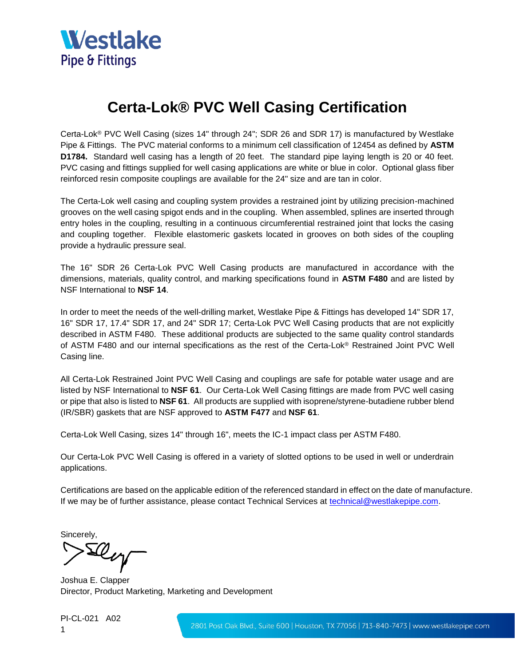

## **Certa-Lok® PVC Well Casing Certification**

Certa-Lok® PVC Well Casing (sizes 14" through 24"; SDR 26 and SDR 17) is manufactured by Westlake Pipe & Fittings. The PVC material conforms to a minimum cell classification of 12454 as defined by **ASTM D1784.** Standard well casing has a length of 20 feet. The standard pipe laying length is 20 or 40 feet. PVC casing and fittings supplied for well casing applications are white or blue in color. Optional glass fiber reinforced resin composite couplings are available for the 24" size and are tan in color.

The Certa-Lok well casing and coupling system provides a restrained joint by utilizing precision-machined grooves on the well casing spigot ends and in the coupling. When assembled, splines are inserted through entry holes in the coupling, resulting in a continuous circumferential restrained joint that locks the casing and coupling together. Flexible elastomeric gaskets located in grooves on both sides of the coupling provide a hydraulic pressure seal.

The 16" SDR 26 Certa-Lok PVC Well Casing products are manufactured in accordance with the dimensions, materials, quality control, and marking specifications found in **ASTM F480** and are listed by NSF International to **NSF 14**.

In order to meet the needs of the well-drilling market, Westlake Pipe & Fittings has developed 14" SDR 17, 16" SDR 17, 17.4" SDR 17, and 24" SDR 17; Certa-Lok PVC Well Casing products that are not explicitly described in ASTM F480. These additional products are subjected to the same quality control standards of ASTM F480 and our internal specifications as the rest of the Certa-Lok® Restrained Joint PVC Well Casing line.

All Certa-Lok Restrained Joint PVC Well Casing and couplings are safe for potable water usage and are listed by NSF International to **NSF 61**. Our Certa-Lok Well Casing fittings are made from PVC well casing or pipe that also is listed to **NSF 61**. All products are supplied with isoprene/styrene-butadiene rubber blend (IR/SBR) gaskets that are NSF approved to **ASTM F477** and **NSF 61**.

Certa-Lok Well Casing, sizes 14" through 16", meets the IC-1 impact class per ASTM F480.

Our Certa-Lok PVC Well Casing is offered in a variety of slotted options to be used in well or underdrain applications.

Certifications are based on the applicable edition of the referenced standard in effect on the date of manufacture. If we may be of further assistance, please contact Technical Services at [technical@westlakepipe.com.](mailto:technical@westlakepipe.com)

Sincerely,

Dey

Joshua E. Clapper Director, Product Marketing, Marketing and Development